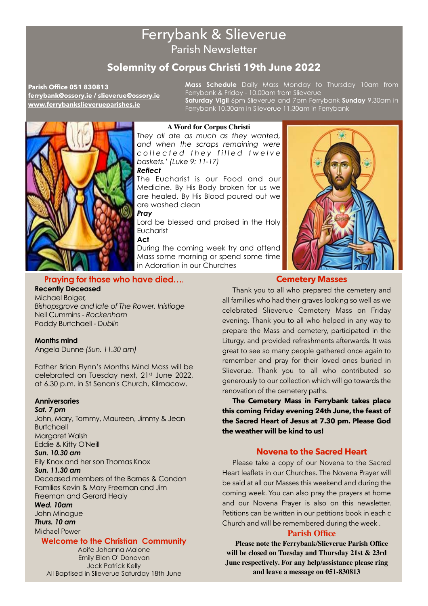# Ferrybank & Slieverue Parish Newsletter

## **Solemnity of Corpus Christi 19th June 2022**

**Parish Office 051 830813 [ferrybank@ossory.ie](mailto:ferrybank@ossory.ie) / [slieverue@ossory.ie](mailto:slieverue@ossory.ie) [www.ferrybankslieverueparishes.ie](http://ferrybankslieverueparishes.ie)**

**Mass Schedule** Daily Mass Monday to Thursday 10am from Ferrybank & Friday - 10.00am from Slieverue **Saturday Vigil** 6pm Slieverue and 7pm Ferrybank **Sunday** 9.30am in Ferrybank 10.30am in Slieverue 11.30am in Ferrybank



## **A Word for Corpus Christi**

*They all ate as much as they wanted, and when the scraps remaining were*  collected they filled twelve *baskets.' (Luke 9: 11-17) Reflect* 

The Eucharist is our Food and our Medicine. By His Body broken for us we are healed. By His Blood poured out we are washed clean

*Pray* 

Lord be blessed and praised in the Holy **Eucharist** 

**Act** 

During the coming week try and attend Mass some morning or spend some time in Adoration in our Churches



## **Cemetery Masses**

**Praying for those who have died….** 

## **Recently Deceased**  Michael Bolger, Nell Cummins - *Rockenham*

*Bishopsgrove and late of The Rower, Inistioge*  Paddy Burtchaell - *Dublin* 

## **Months mind**

Angela Dunne *(Sun. 11.30 am)* 

Father Brian Flynn's Months Mind Mass will be celebrated on Tuesday next, 21<sup>st</sup> June 2022, at 6.30 p.m. in St Senan's Church, Kilmacow.

## **Anniversaries**

*Sat. 7 pm*  John, Mary, Tommy, Maureen, Jimmy & Jean **Burtchaell** Margaret Walsh Eddie & Kitty O'Neill *Sun. 10.30 am*  Eily Knox and her son Thomas Knox *Sun. 11.30 am*  Deceased members of the Barnes & Condon Families Kevin & Mary Freeman and Jim Freeman and Gerard Healy *Wed. 10am*  John Minogue

*Thurs. 10 am*  Michael Power

## **Welcome to the Christian Community**

Aoife Johanna Malone Emily Ellen O' Donovan Jack Patrick Kelly All Baptised in Slieverue Saturday 18th June

Thank you to all who prepared the cemetery and all families who had their graves looking so well as we celebrated Slieverue Cemetery Mass on Friday evening. Thank you to all who helped in any way to prepare the Mass and cemetery, participated in the Liturgy, and provided refreshments afterwards. It was great to see so many people gathered once again to remember and pray for their loved ones buried in Slieverue. Thank you to all who contributed so generously to our collection which will go towards the renovation of the cemetery paths.

**The Cemetery Mass in Ferrybank takes place this coming Friday evening 24th June, the feast of the Sacred Heart of Jesus at 7.30 pm. Please God the weather will be kind to us!** 

## **Novena to the Sacred Heart**

Please take a copy of our Novena to the Sacred Heart leaflets in our Churches. The Novena Prayer will be said at all our Masses this weekend and during the coming week. You can also pray the prayers at home and our Novena Prayer is also on this newsletter. Petitions can be written in our petitions book in each c Church and will be remembered during the week .

## **Parish Office**

**Please note the Ferrybank/Slieverue Parish Office will be closed on Tuesday and Thursday 21st & 23rd June respectively. For any help/assistance please ring and leave a message on 051-830813**